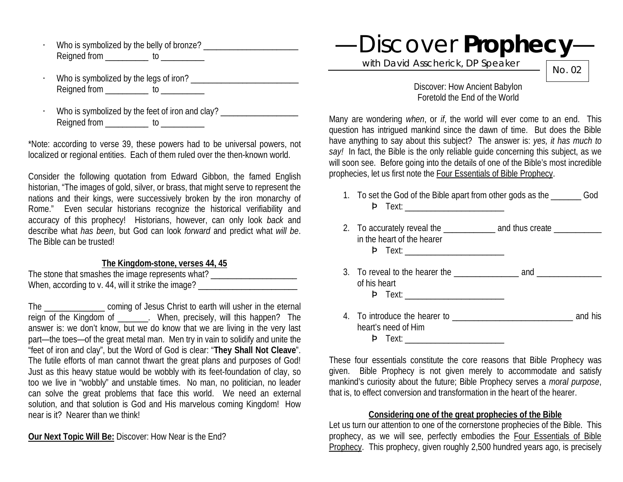- · Who is symbolized by the belly of bronze? \_\_\_\_\_\_\_\_\_\_\_\_\_\_\_\_\_\_\_\_\_\_ Reigned from \_\_\_\_\_\_\_\_\_\_\_ to \_\_\_\_\_\_\_
- · Who is symbolized by the legs of iron? \_\_\_\_\_\_\_\_\_\_\_\_\_\_\_\_\_\_\_\_\_\_\_\_\_ Reigned from \_\_\_\_\_\_\_\_\_\_\_ to \_\_\_\_\_\_\_\_\_\_
- Who is symbolized by the feet of iron and clay? \_\_\_\_\_\_\_\_\_\_\_\_\_\_\_\_\_\_\_\_\_\_\_\_\_\_\_\_\_\_\_\_\_ Reigned from to underline to the Reigned from the state of the state of the state of the state of the state of the state of the state of the state of the state of the state of the state of the state of the state of the sta

\*Note: according to verse 39, these powers had to be universal powers, not localized or regional entities. Each of them ruled over the then-known world.

Consider the following quotation from Edward Gibbon, the famed English historian, "The images of gold, silver, or brass, that might serve to represent the nations and their kings, were successively broken by the iron monarchy of Rome." Even secular historians recognize the historical verifiability and accuracy of this prophecy! Historians, however, can only look *back* and describe what *has been*, but God can look *forward* and predict what *will be*. The Bible can be trusted!

#### **The Kingdom-stone, verses 44, 45**

| The stone that smashes the image represents what?   |  |
|-----------------------------------------------------|--|
| When, according to v. 44, will it strike the image? |  |

The coming of Jesus Christ to earth will usher in the eternal reign of the Kingdom of \_\_\_\_\_\_\_. When, precisely, will this happen? The answer is: we don't know, but we do know that we are living in the very last part—the toes—of the great metal man. Men try in vain to solidify and unite the "feet of iron and clay", but the Word of God is clear: "**They Shall Not Cleave**". The futile efforts of man cannot thwart the great plans and purposes of God! Just as this heavy statue would be wobbly with its feet-foundation of clay, so too we live in "wobbly" and unstable times. No man, no politician, no leader can solve the great problems that face this world. We need an external solution, and that solution is God and His marvelous coming Kingdom! How near is it? Nearer than we think!

**Our Next Topic Will Be:** Discover: How Near is the End?

—Discover **Prophecy**—

with David Asscherick, DP Speaker

No. 02

Discover: How Ancient Babylon Foretold the End of the World

Many are wondering *when*, or *if*, the world will ever come to an end. This question has intrigued mankind since the dawn of time. But does the Bible have anything to say about this subject? The answer is: *yes, it has much to say!* In fact, the Bible is the only reliable guide concerning this subject, as we will soon see. Before going into the details of one of the Bible's most incredible prophecies, let us first note the Four Essentials of Bible Prophecy.

- 1. To set the God of the Bible apart from other gods as the God Þ Text: \_\_\_\_\_\_\_\_\_\_\_\_\_\_\_\_\_\_\_\_\_\_\_
- 2. To accurately reveal the \_\_\_\_\_\_\_\_\_\_\_\_\_\_ and thus create \_\_\_\_\_\_\_\_\_\_\_\_\_ in the heart of the hearer Þ Text: \_\_\_\_\_\_\_\_\_\_\_\_\_\_\_\_\_\_\_\_\_\_\_ 3. To reveal to the hearer the \_\_\_\_\_\_\_\_\_\_\_\_\_\_\_ and \_\_\_\_\_\_\_\_\_\_\_\_\_\_\_ of his heart Þ Text: \_\_\_\_\_\_\_\_\_\_\_\_\_\_\_\_\_\_\_\_\_\_\_
- 4. To introduce the hearer to **and his** and his heart's need of Him Þ Text: \_\_\_\_\_\_\_\_\_\_\_\_\_\_\_\_\_\_\_\_\_\_\_

These four essentials constitute the core reasons that Bible Prophecy was given. Bible Prophecy is not given merely to accommodate and satisfy mankind's curiosity about the future; Bible Prophecy serves a *moral purpose*, that is, to effect conversion and transformation in the heart of the hearer.

#### **Considering one of the great prophecies of the Bible**

Let us turn our attention to one of the cornerstone prophecies of the Bible. This prophecy, as we will see, perfectly embodies the Four Essentials of Bible Prophecy. This prophecy, given roughly 2,500 hundred years ago, is precisely